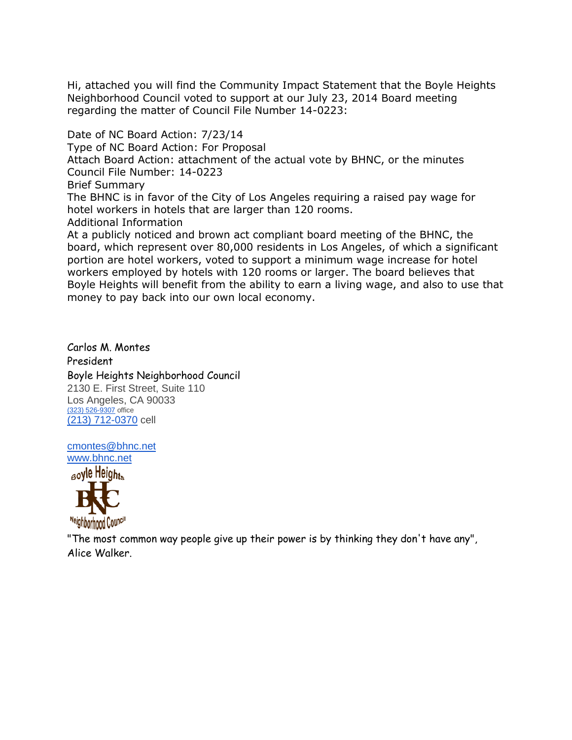Hi, attached you will find the Community Impact Statement that the Boyle Heights Neighborhood Council voted to support at our July 23, 2014 Board meeting regarding the matter of Council File Number 14-0223:

Date of NC Board Action: 7/23/14 Type of NC Board Action: For Proposal Attach Board Action: attachment of the actual vote by BHNC, or the minutes Council File Number: 14-0223 Brief Summary The BHNC is in favor of the City of Los Angeles requiring a raised pay wage for hotel workers in hotels that are larger than 120 rooms. Additional Information At a publicly noticed and brown act compliant board meeting of the BHNC, the board, which represent over 80,000 residents in Los Angeles, of which a significant

portion are hotel workers, voted to support a minimum wage increase for hotel workers employed by hotels with 120 rooms or larger. The board believes that Boyle Heights will benefit from the ability to earn a living wage, and also to use that money to pay back into our own local economy.

Carlos M. Montes President Boyle Heights Neighborhood Council 2130 E. First Street, Suite 110 Los Angeles, CA 90033 [\(323\) 526-9307](tel:%28323%29%20526-9307) office [\(213\) 712-0370](tel:%28213%29%20712-0370) cell

[cmontes@bhnc.net](mailto:cmontes@bhnc.net) [www.bhnc.net](http://www.bhnc.net/)



"The most common way people give up their power is by thinking they don't have any", Alice Walker.